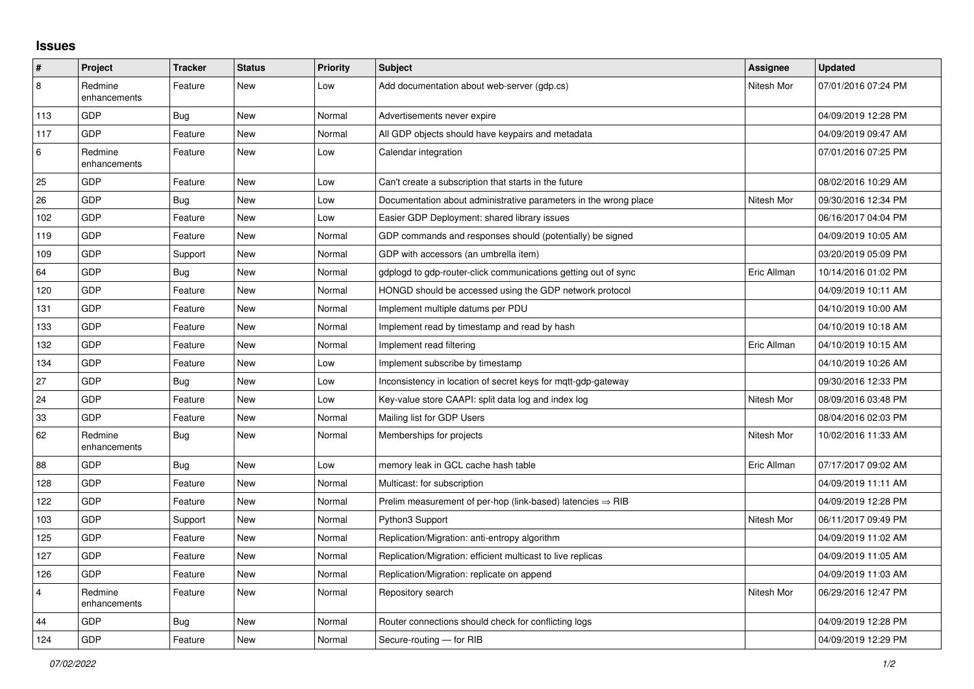## **Issues**

| #              | Project                 | <b>Tracker</b> | <b>Status</b> | <b>Priority</b> | <b>Subject</b>                                                         | Assignee    | <b>Updated</b>      |
|----------------|-------------------------|----------------|---------------|-----------------|------------------------------------------------------------------------|-------------|---------------------|
| 8              | Redmine<br>enhancements | Feature        | <b>New</b>    | Low             | Add documentation about web-server (gdp.cs)                            | Nitesh Mor  | 07/01/2016 07:24 PM |
| 113            | <b>GDP</b>              | Bug            | New           | Normal          | Advertisements never expire                                            |             | 04/09/2019 12:28 PM |
| 117            | GDP                     | Feature        | <b>New</b>    | Normal          | All GDP objects should have keypairs and metadata                      |             | 04/09/2019 09:47 AM |
| 6              | Redmine<br>enhancements | Feature        | <b>New</b>    | Low             | Calendar integration                                                   |             | 07/01/2016 07:25 PM |
| 25             | GDP                     | Feature        | <b>New</b>    | Low             | Can't create a subscription that starts in the future                  |             | 08/02/2016 10:29 AM |
| 26             | GDP                     | Bug            | <b>New</b>    | Low             | Documentation about administrative parameters in the wrong place       | Nitesh Mor  | 09/30/2016 12:34 PM |
| 102            | <b>GDP</b>              | Feature        | <b>New</b>    | Low             | Easier GDP Deployment: shared library issues                           |             | 06/16/2017 04:04 PM |
| 119            | GDP                     | Feature        | <b>New</b>    | Normal          | GDP commands and responses should (potentially) be signed              |             | 04/09/2019 10:05 AM |
| 109            | GDP                     | Support        | New           | Normal          | GDP with accessors (an umbrella item)                                  |             | 03/20/2019 05:09 PM |
| 64             | <b>GDP</b>              | Bug            | <b>New</b>    | Normal          | gdplogd to gdp-router-click communications getting out of sync         | Eric Allman | 10/14/2016 01:02 PM |
| 120            | GDP                     | Feature        | <b>New</b>    | Normal          | HONGD should be accessed using the GDP network protocol                |             | 04/09/2019 10:11 AM |
| 131            | GDP                     | Feature        | <b>New</b>    | Normal          | Implement multiple datums per PDU                                      |             | 04/10/2019 10:00 AM |
| 133            | GDP                     | Feature        | <b>New</b>    | Normal          | Implement read by timestamp and read by hash                           |             | 04/10/2019 10:18 AM |
| 132            | GDP                     | Feature        | <b>New</b>    | Normal          | Implement read filtering                                               | Eric Allman | 04/10/2019 10:15 AM |
| 134            | GDP                     | Feature        | <b>New</b>    | Low             | Implement subscribe by timestamp                                       |             | 04/10/2019 10:26 AM |
| 27             | GDP                     | <b>Bug</b>     | New           | Low             | Inconsistency in location of secret keys for mqtt-gdp-gateway          |             | 09/30/2016 12:33 PM |
| 24             | <b>GDP</b>              | Feature        | <b>New</b>    | Low             | Key-value store CAAPI: split data log and index log                    | Nitesh Mor  | 08/09/2016 03:48 PM |
| 33             | GDP                     | Feature        | <b>New</b>    | Normal          | Mailing list for GDP Users                                             |             | 08/04/2016 02:03 PM |
| 62             | Redmine<br>enhancements | Bug            | New           | Normal          | Memberships for projects                                               | Nitesh Mor  | 10/02/2016 11:33 AM |
| 88             | GDP                     | Bug            | <b>New</b>    | Low             | memory leak in GCL cache hash table                                    | Eric Allman | 07/17/2017 09:02 AM |
| 128            | GDP                     | Feature        | <b>New</b>    | Normal          | Multicast: for subscription                                            |             | 04/09/2019 11:11 AM |
| 122            | <b>GDP</b>              | Feature        | <b>New</b>    | Normal          | Prelim measurement of per-hop (link-based) latencies $\Rightarrow$ RIB |             | 04/09/2019 12:28 PM |
| 103            | <b>GDP</b>              | Support        | <b>New</b>    | Normal          | Python3 Support                                                        | Nitesh Mor  | 06/11/2017 09:49 PM |
| 125            | GDP                     | Feature        | New           | Normal          | Replication/Migration: anti-entropy algorithm                          |             | 04/09/2019 11:02 AM |
| 127            | <b>GDP</b>              | Feature        | <b>New</b>    | Normal          | Replication/Migration: efficient multicast to live replicas            |             | 04/09/2019 11:05 AM |
| 126            | GDP                     | Feature        | <b>New</b>    | Normal          | Replication/Migration: replicate on append                             |             | 04/09/2019 11:03 AM |
| $\overline{4}$ | Redmine<br>enhancements | Feature        | <b>New</b>    | Normal          | Repository search                                                      | Nitesh Mor  | 06/29/2016 12:47 PM |
| 44             | GDP                     | <b>Bug</b>     | <b>New</b>    | Normal          | Router connections should check for conflicting logs                   |             | 04/09/2019 12:28 PM |
| 124            | GDP                     | Feature        | New           | Normal          | Secure-routing - for RIB                                               |             | 04/09/2019 12:29 PM |